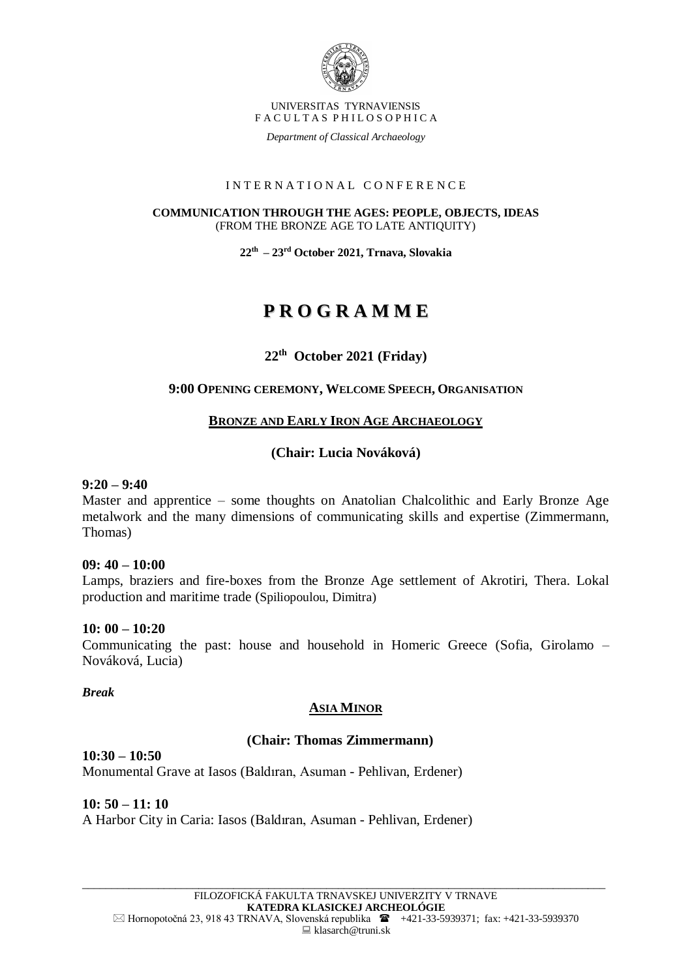

*Department of Classical Archaeology*

#### I N T E R N A T I O N A L C O N F E R E N C E

#### **COMMUNICATION THROUGH THE AGES: PEOPLE, OBJECTS, IDEAS** (FROM THE BRONZE AGE TO LATE ANTIQUITY)

**22th – 23 rd October 2021, Trnava, Slovakia**

# **P R O G R A M M E**

# **22th October 2021 (Friday)**

## **9:00 OPENING CEREMONY, WELCOME SPEECH, ORGANISATION**

## **BRONZE AND EARLY IRON AGE ARCHAEOLOGY**

# **(Chair: Lucia Nováková)**

#### **9:20 – 9:40**

Master and apprentice – some thoughts on Anatolian Chalcolithic and Early Bronze Age metalwork and the many dimensions of communicating skills and expertise (Zimmermann, Thomas)

#### **09: 40 – 10:00**

Lamps, braziers and fire-boxes from the Bronze Age settlement of Akrotiri, Thera. Lokal production and maritime trade (Spiliopoulou, Dimitra)

#### **10: 00 – 10:20**

Communicating the past: house and household in Homeric Greece (Sofia, Girolamo – Nováková, Lucia)

#### *Break*

# **ASIA MINOR**

#### **(Chair: Thomas Zimmermann)**

#### **10:30 – 10:50**  Monumental Grave at Iasos (Baldıran, Asuman - Pehlivan, Erdener)

**10: 50 – 11: 10** A Harbor City in Caria: Iasos (Baldıran, Asuman - Pehlivan, Erdener)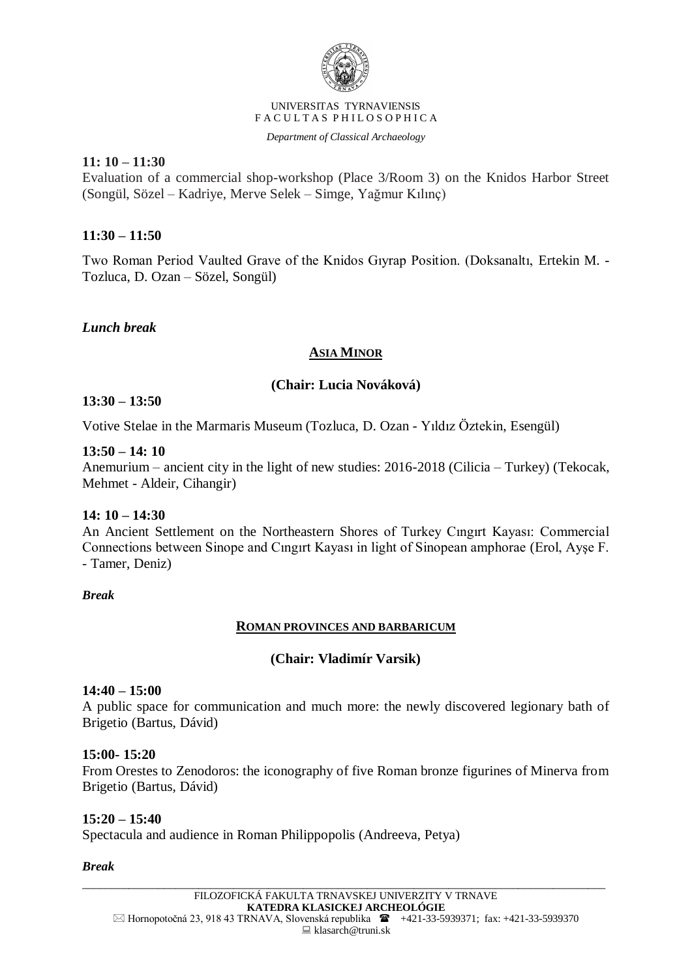

*Department of Classical Archaeology*

**11: 10 – 11:30**

Evaluation of a commercial shop-workshop (Place 3/Room 3) on the Knidos Harbor Street (Songül, Sözel – Kadriye, Merve Selek – Simge, Yağmur Kılınç)

# **11:30 – 11:50**

Two Roman Period Vaulted Grave of the Knidos Gıyrap Position. (Doksanaltı, Ertekin M. - Tozluca, D. Ozan – Sözel, Songül)

*Lunch break*

# **ASIA MINOR**

# **(Chair: Lucia Nováková)**

## **13:30 – 13:50**

Votive Stelae in the Marmaris Museum (Tozluca, D. Ozan - Yıldız Öztekin, Esengül)

#### **13:50 – 14: 10**

Anemurium – ancient city in the light of new studies: 2016-2018 (Cilicia – Turkey) (Tekocak, Mehmet - Aldeir, Cihangir)

#### **14: 10 – 14:30**

An Ancient Settlement on the Northeastern Shores of Turkey Cıngırt Kayası: Commercial Connections between Sinope and Cıngırt Kayası in light of Sinopean amphorae (Erol, Ayşe F. - Tamer, Deniz)

#### *Break*

#### **ROMAN PROVINCES AND BARBARICUM**

#### **(Chair: Vladimír Varsik)**

#### **14:40 – 15:00**

A public space for communication and much more: the newly discovered legionary bath of Brigetio (Bartus, Dávid)

#### **15:00- 15:20**

From Orestes to Zenodoros: the iconography of five Roman bronze figurines of Minerva from Brigetio (Bartus, Dávid)

#### **15:20 – 15:40**

Spectacula and audience in Roman Philippopolis (Andreeva, Petya)

#### *Break*

\_\_\_\_\_\_\_\_\_\_\_\_\_\_\_\_\_\_\_\_\_\_\_\_\_\_\_\_\_\_\_\_\_\_\_\_\_\_\_\_\_\_\_\_\_\_\_\_\_\_\_\_\_\_\_\_\_\_\_\_\_\_\_\_\_\_\_\_\_\_\_\_\_\_\_\_\_\_\_\_\_\_\_\_\_\_\_\_\_\_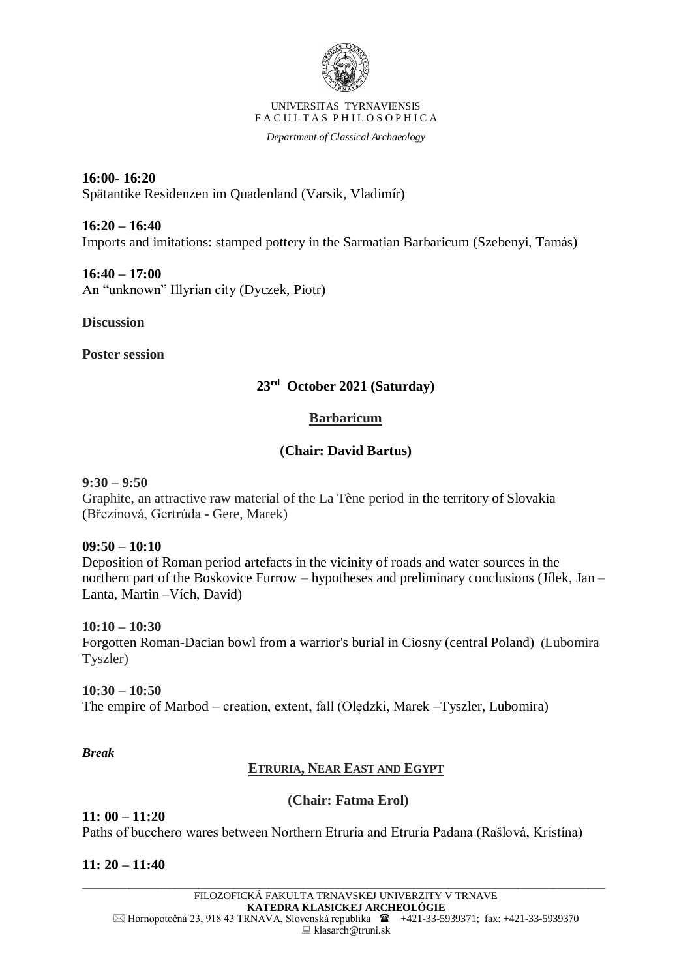

*Department of Classical Archaeology*

**16:00- 16:20** Spätantike Residenzen im Quadenland (Varsik, Vladimír)

**16:20 – 16:40** Imports and imitations: stamped pottery in the Sarmatian Barbaricum (Szebenyi, Tamás)

**16:40 – 17:00** An "unknown" Illyrian city (Dyczek, Piotr)

**Discussion**

**Poster session**

# **23rd October 2021 (Saturday)**

# **Barbaricum**

# **(Chair: David Bartus)**

## **9:30 – 9:50**

Graphite, an attractive raw material of the La Tène period in the territory of Slovakia (Březinová, Gertrúda - Gere, Marek)

#### **09:50 – 10:10**

Deposition of Roman period artefacts in the vicinity of roads and water sources in the northern part of the Boskovice Furrow – hypotheses and preliminary conclusions (Jílek, Jan – Lanta, Martin –Vích, David)

#### **10:10 – 10:30**

Forgotten Roman-Dacian bowl from a warrior's burial in Ciosny (central Poland) (Lubomira Tyszler)

# **10:30 – 10:50**

The empire of Marbod – creation, extent, fall (Olędzki, Marek –Tyszler, Lubomira)

*Break*

# **ETRURIA, NEAR EAST AND EGYPT**

# **(Chair: Fatma Erol)**

#### **11: 00 – 11:20** Paths of bucchero wares between Northern Etruria and Etruria Padana (Rašlová, Kristína)

**11: 20 – 11:40**

\_\_\_\_\_\_\_\_\_\_\_\_\_\_\_\_\_\_\_\_\_\_\_\_\_\_\_\_\_\_\_\_\_\_\_\_\_\_\_\_\_\_\_\_\_\_\_\_\_\_\_\_\_\_\_\_\_\_\_\_\_\_\_\_\_\_\_\_\_\_\_\_\_\_\_\_\_\_\_\_\_\_\_\_\_\_\_\_\_\_